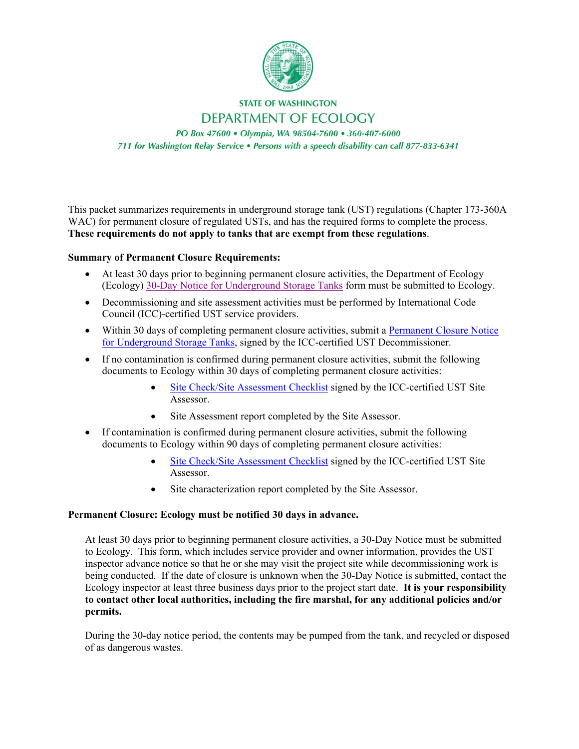

# **STATE OF WASHINGTON DEPARTMENT OF ECOLOGY**

PO Box 47600 · Olympia, WA 98504-7600 · 360-407-6000 711 for Washington Relay Service . Persons with a speech disability can call 877-833-6341

This packet summarizes requirements in underground storage tank (UST) regulations (Chapter 173-360A WAC) for permanent closure of regulated USTs, and has the required forms to complete the process. **These requirements do not apply to tanks that are exempt from these regulations**.

# **Summary of Permanent Closure Requirements:**

- At least 30 days prior to beginning permanent closure activities, the Department of Ecology (Ecology) 30-Day Notice [for Underground Storage Tanks](https://fortress.wa.gov/ecy/publications/documents/ecy02095.pdf) form must be submitted to Ecology.
- Decommissioning and site assessment activities must be performed by International Code Council (ICC)-certified UST service providers.
- Within 30 days of completing permanent closure activities, submit a Permanent Closure Notice [for Underground Storage Tanks,](https://fortress.wa.gov/ecy/publications/summarypages/ECY02094.html) signed by the ICC-certified UST Decommissioner.
- If no contamination is confirmed during permanent closure activities, submit the following documents to Ecology within 30 days of completing permanent closure activities:
	- [Site Check/Site Assessment Checklist](https://fortress.wa.gov/ecy/publications/documents/ecy010158.pdf) signed by the ICC-certified UST Site Assessor.
	- Site Assessment report completed by the Site Assessor.
- If contamination is confirmed during permanent closure activities, submit the following documents to Ecology within 90 days of completing permanent closure activities:
	- [Site Check/Site Assessment Checklist](https://fortress.wa.gov/ecy/publications/documents/ecy010158.pdf) signed by the ICC-certified UST Site Assessor.
	- Site characterization report completed by the Site Assessor.

# **Permanent Closure: Ecology must be notified 30 days in advance.**

At least 30 days prior to beginning permanent closure activities, a 30-Day Notice must be submitted to Ecology. This form, which includes service provider and owner information, provides the UST inspector advance notice so that he or she may visit the project site while decommissioning work is being conducted. If the date of closure is unknown when the 30-Day Notice is submitted, contact the Ecology inspector at least three business days prior to the project start date. **It is your responsibility to contact other local authorities, including the fire marshal, for any additional policies and/or permits.**

During the 30-day notice period, the contents may be pumped from the tank, and recycled or disposed of as dangerous wastes.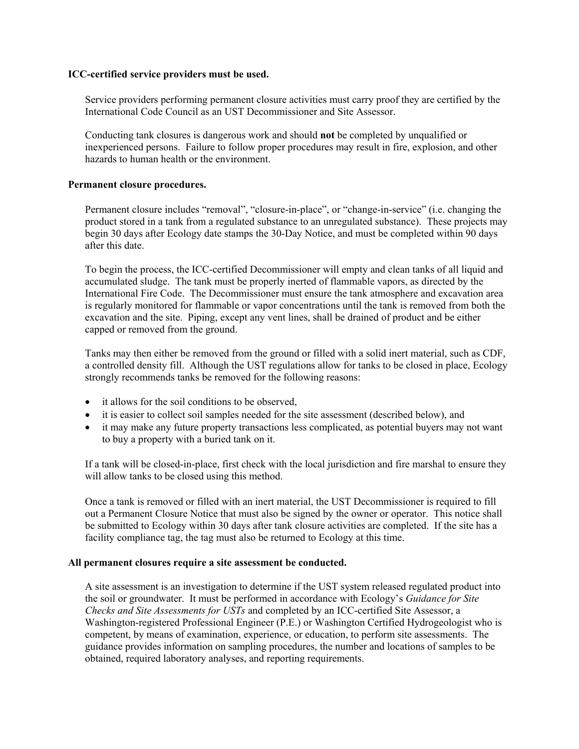#### **ICC-certified service providers must be used.**

Service providers performing permanent closure activities must carry proof they are certified by the International Code Council as an UST Decommissioner and Site Assessor.

Conducting tank closures is dangerous work and should **not** be completed by unqualified or inexperienced persons. Failure to follow proper procedures may result in fire, explosion, and other hazards to human health or the environment.

### **Permanent closure procedures.**

Permanent closure includes "removal", "closure-in-place", or "change-in-service" (i.e. changing the product stored in a tank from a regulated substance to an unregulated substance). These projects may begin 30 days after Ecology date stamps the 30-Day Notice, and must be completed within 90 days after this date.

To begin the process, the ICC-certified Decommissioner will empty and clean tanks of all liquid and accumulated sludge. The tank must be properly inerted of flammable vapors, as directed by the International Fire Code. The Decommissioner must ensure the tank atmosphere and excavation area is regularly monitored for flammable or vapor concentrations until the tank is removed from both the excavation and the site. Piping, except any vent lines, shall be drained of product and be either capped or removed from the ground.

Tanks may then either be removed from the ground or filled with a solid inert material, such as CDF, a controlled density fill. Although the UST regulations allow for tanks to be closed in place, Ecology strongly recommends tanks be removed for the following reasons:

- it allows for the soil conditions to be observed,
- it is easier to collect soil samples needed for the site assessment (described below), and
- it may make any future property transactions less complicated, as potential buyers may not want to buy a property with a buried tank on it.

If a tank will be closed-in-place, first check with the local jurisdiction and fire marshal to ensure they will allow tanks to be closed using this method.

Once a tank is removed or filled with an inert material, the UST Decommissioner is required to fill out a Permanent Closure Notice that must also be signed by the owner or operator. This notice shall be submitted to Ecology within 30 days after tank closure activities are completed. If the site has a facility compliance tag, the tag must also be returned to Ecology at this time.

#### **All permanent closures require a site assessment be conducted.**

A site assessment is an investigation to determine if the UST system released regulated product into the soil or groundwater. It must be performed in accordance with Ecology's *Guidance for Site Checks and Site Assessments for USTs* and completed by an ICC-certified Site Assessor, a Washington-registered Professional Engineer (P.E.) or Washington Certified Hydrogeologist who is competent, by means of examination, experience, or education, to perform site assessments. The guidance provides information on sampling procedures, the number and locations of samples to be obtained, required laboratory analyses, and reporting requirements.